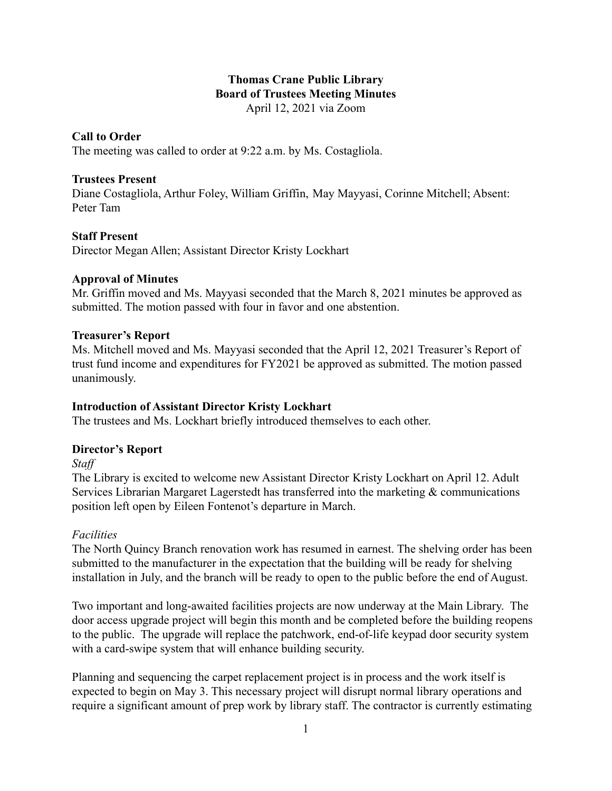### **Thomas Crane Public Library Board of Trustees Meeting Minutes** April 12, 2021 via Zoom

### **Call to Order**

The meeting was called to order at 9:22 a.m. by Ms. Costagliola.

### **Trustees Present**

Diane Costagliola, Arthur Foley, William Griffin, May Mayyasi, Corinne Mitchell; Absent: Peter Tam

### **Staff Present**

Director Megan Allen; Assistant Director Kristy Lockhart

### **Approval of Minutes**

Mr. Griffin moved and Ms. Mayyasi seconded that the March 8, 2021 minutes be approved as submitted. The motion passed with four in favor and one abstention.

### **Treasurer's Report**

Ms. Mitchell moved and Ms. Mayyasi seconded that the April 12, 2021 Treasurer's Report of trust fund income and expenditures for FY2021 be approved as submitted. The motion passed unanimously.

# **Introduction of Assistant Director Kristy Lockhart**

The trustees and Ms. Lockhart briefly introduced themselves to each other.

# **Director's Report**

*Staff*

The Library is excited to welcome new Assistant Director Kristy Lockhart on April 12. Adult Services Librarian Margaret Lagerstedt has transferred into the marketing & communications position left open by Eileen Fontenot's departure in March.

### *Facilities*

The North Quincy Branch renovation work has resumed in earnest. The shelving order has been submitted to the manufacturer in the expectation that the building will be ready for shelving installation in July, and the branch will be ready to open to the public before the end of August.

Two important and long-awaited facilities projects are now underway at the Main Library. The door access upgrade project will begin this month and be completed before the building reopens to the public. The upgrade will replace the patchwork, end-of-life keypad door security system with a card-swipe system that will enhance building security.

Planning and sequencing the carpet replacement project is in process and the work itself is expected to begin on May 3. This necessary project will disrupt normal library operations and require a significant amount of prep work by library staff. The contractor is currently estimating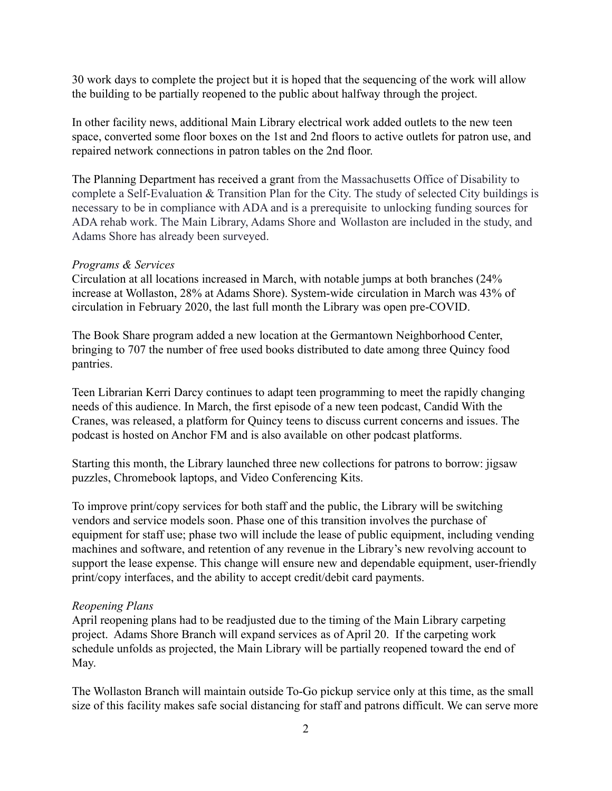30 work days to complete the project but it is hoped that the sequencing of the work will allow the building to be partially reopened to the public about halfway through the project.

In other facility news, additional Main Library electrical work added outlets to the new teen space, converted some floor boxes on the 1st and 2nd floors to active outlets for patron use, and repaired network connections in patron tables on the 2nd floor.

The Planning Department has received a grant from the Massachusetts Office of Disability to complete a Self-Evaluation & Transition Plan for the City. The study of selected City buildings is necessary to be in compliance with ADA and is a prerequisite to unlocking funding sources for ADA rehab work. The Main Library, Adams Shore and Wollaston are included in the study, and Adams Shore has already been surveyed.

#### *Programs & Services*

Circulation at all locations increased in March, with notable jumps at both branches (24% increase at Wollaston, 28% at Adams Shore). System-wide circulation in March was 43% of circulation in February 2020, the last full month the Library was open pre-COVID.

The Book Share program added a new location at the Germantown Neighborhood Center, bringing to 707 the number of free used books distributed to date among three Quincy food pantries.

Teen Librarian Kerri Darcy continues to adapt teen programming to meet the rapidly changing needs of this audience. In March, the first episode of a new teen podcast, Candid With the Cranes, was released, a platform for Quincy teens to discuss current concerns and issues. The podcast is hosted on Anchor FM and is also available on other podcast platforms.

Starting this month, the Library launched three new collections for patrons to borrow: jigsaw puzzles, Chromebook laptops, and Video Conferencing Kits.

To improve print/copy services for both staff and the public, the Library will be switching vendors and service models soon. Phase one of this transition involves the purchase of equipment for staff use; phase two will include the lease of public equipment, including vending machines and software, and retention of any revenue in the Library's new revolving account to support the lease expense. This change will ensure new and dependable equipment, user-friendly print/copy interfaces, and the ability to accept credit/debit card payments.

### *Reopening Plans*

April reopening plans had to be readjusted due to the timing of the Main Library carpeting project. Adams Shore Branch will expand services as of April 20. If the carpeting work schedule unfolds as projected, the Main Library will be partially reopened toward the end of May.

The Wollaston Branch will maintain outside To-Go pickup service only at this time, as the small size of this facility makes safe social distancing for staff and patrons difficult. We can serve more